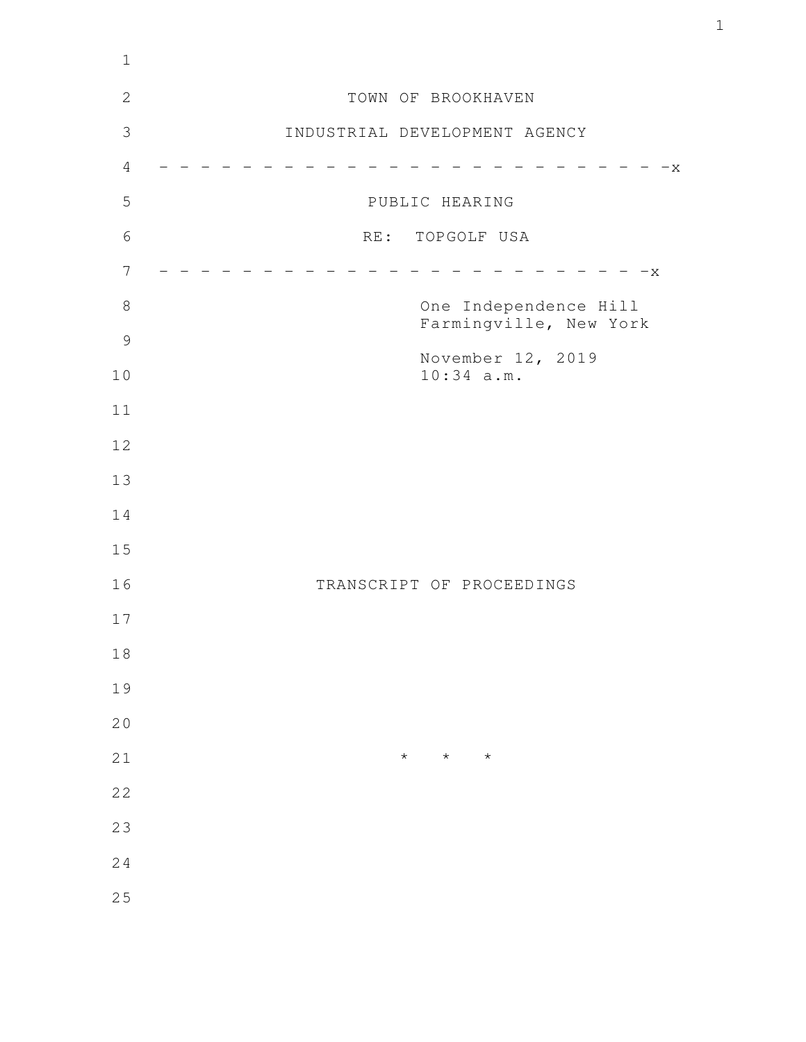| $1\,$               |                                                 |
|---------------------|-------------------------------------------------|
| $\sqrt{2}$          | TOWN OF BROOKHAVEN                              |
| $\mathfrak{Z}$      | INDUSTRIAL DEVELOPMENT AGENCY                   |
| $\overline{4}$      | $-x -$                                          |
| 5                   | PUBLIC HEARING                                  |
| $6\,$               | RE: TOPGOLF USA                                 |
| $\overline{7}$      | $-x$                                            |
| $\,8\,$             | One Independence Hill<br>Farmingville, New York |
| $\mathcal{G}$<br>10 | November 12, 2019<br>$10:34$ a.m.               |
| 11                  |                                                 |
| 12                  |                                                 |
| 13                  |                                                 |
| 14                  |                                                 |
| 15                  |                                                 |
| 16                  | TRANSCRIPT OF PROCEEDINGS                       |
| 17                  |                                                 |
| $1\,8$              |                                                 |
| 19                  |                                                 |
| 20                  |                                                 |
| 21                  | $\star$<br>$\star$<br>$\star$                   |
| 22                  |                                                 |
| 23                  |                                                 |
| 24                  |                                                 |
| 25                  |                                                 |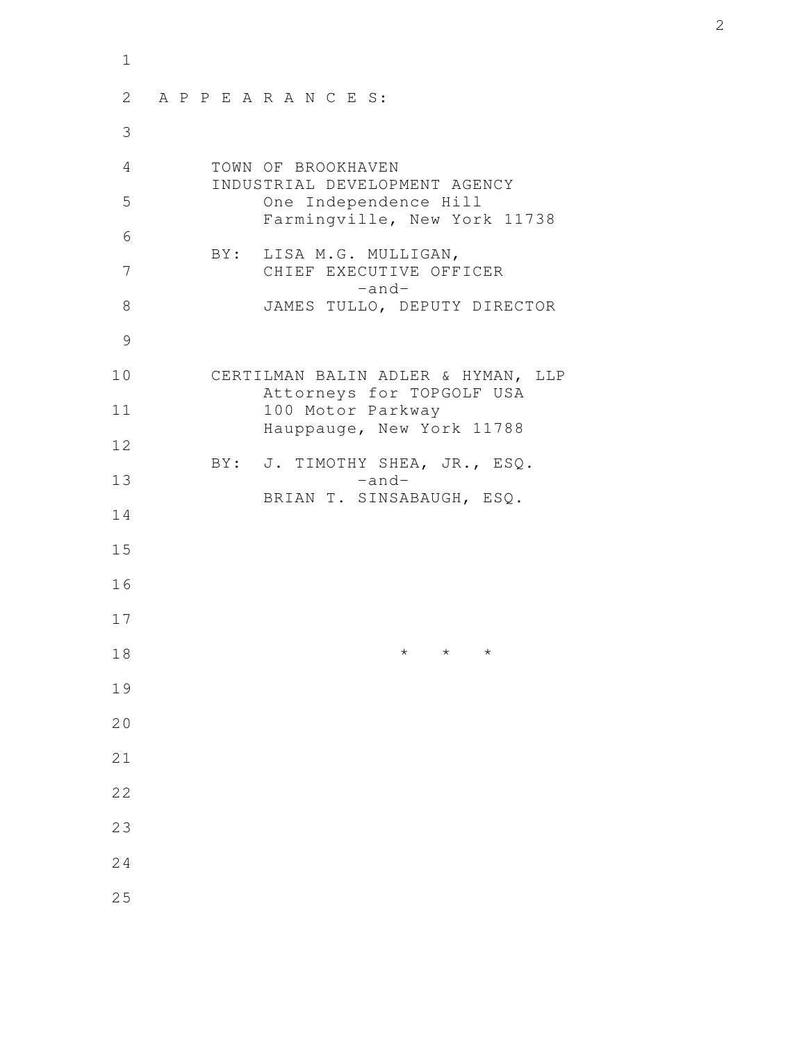| $\mathbf 1$ |                                                                 |
|-------------|-----------------------------------------------------------------|
| 2           | APPEARANCES:                                                    |
| 3           |                                                                 |
| 4           | TOWN OF BROOKHAVEN<br>INDUSTRIAL DEVELOPMENT AGENCY             |
| 5           | One Independence Hill<br>Farmingville, New York 11738           |
| 6           | BY: LISA M.G. MULLIGAN,                                         |
| 7           | CHIEF EXECUTIVE OFFICER<br>$-$ and $-$                          |
| 8           | JAMES TULLO, DEPUTY DIRECTOR                                    |
| 9           |                                                                 |
| 10          | CERTILMAN BALIN ADLER & HYMAN, LLP<br>Attorneys for TOPGOLF USA |
| 11          | 100 Motor Parkway<br>Hauppauge, New York 11788                  |
| 12          | BY: J. TIMOTHY SHEA, JR., ESQ.                                  |
| 13          | $-and-$<br>BRIAN T. SINSABAUGH, ESQ.                            |
| 14          |                                                                 |
| 15          |                                                                 |
| 16          |                                                                 |
| 17          |                                                                 |
| 18          | $^\star$<br>$\star$<br>$^\star$                                 |
| 19          |                                                                 |
| 20          |                                                                 |
| 21          |                                                                 |
| 22          |                                                                 |
| 23          |                                                                 |
| 24          |                                                                 |
| 25          |                                                                 |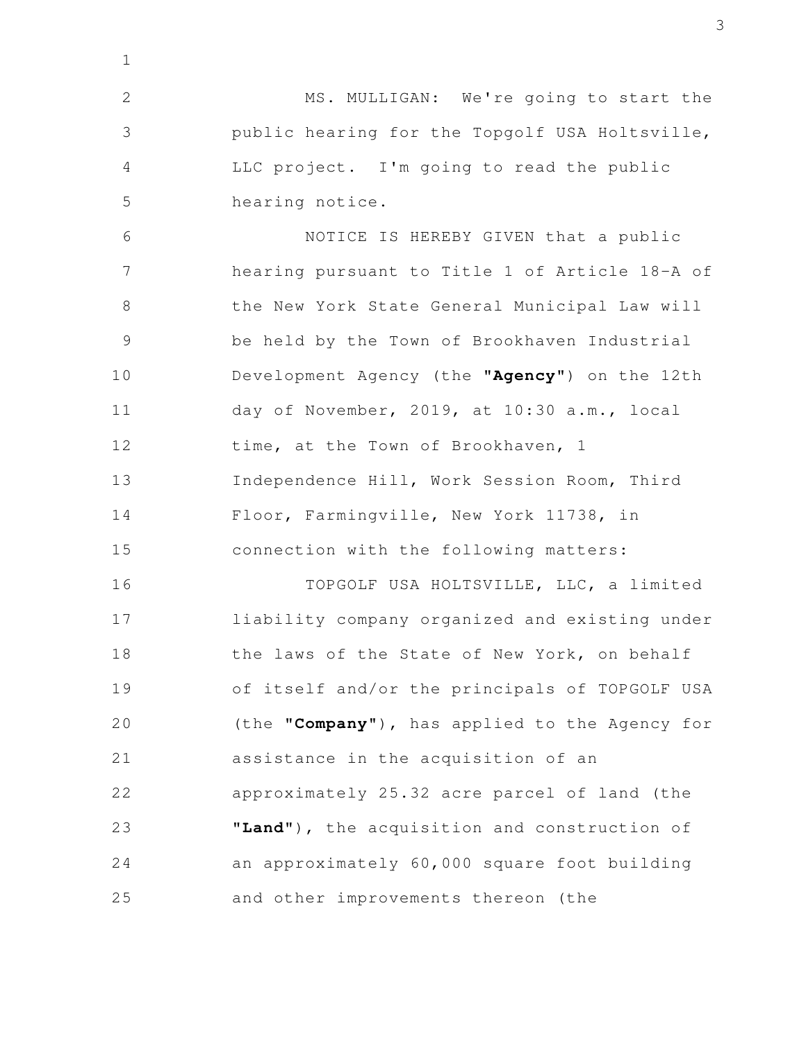MS. MULLIGAN: We're going to start the public hearing for the Topgolf USA Holtsville, LLC project. I'm going to read the public hearing notice. 2 3 4 5

1

NOTICE IS HEREBY GIVEN that a public hearing pursuant to Title 1 of Article 18-A of the New York State General Municipal Law will be held by the Town of Brookhaven Industrial Development Agency (the **"Agency"**) on the 12th day of November, 2019, at 10:30 a.m., local time, at the Town of Brookhaven, 1 Independence Hill, Work Session Room, Third Floor, Farmingville, New York 11738, in connection with the following matters: 6 7 8 9 10 11 12 13 14 15

TOPGOLF USA HOLTSVILLE, LLC, a limited liability company organized and existing under the laws of the State of New York, on behalf of itself and/or the principals of TOPGOLF USA (the **"Company**"), has applied to the Agency for assistance in the acquisition of an approximately 25.32 acre parcel of land (the **"Land"**), the acquisition and construction of an approximately 60,000 square foot building and other improvements thereon (the 16 17 18 19 20 21 22 23 24 25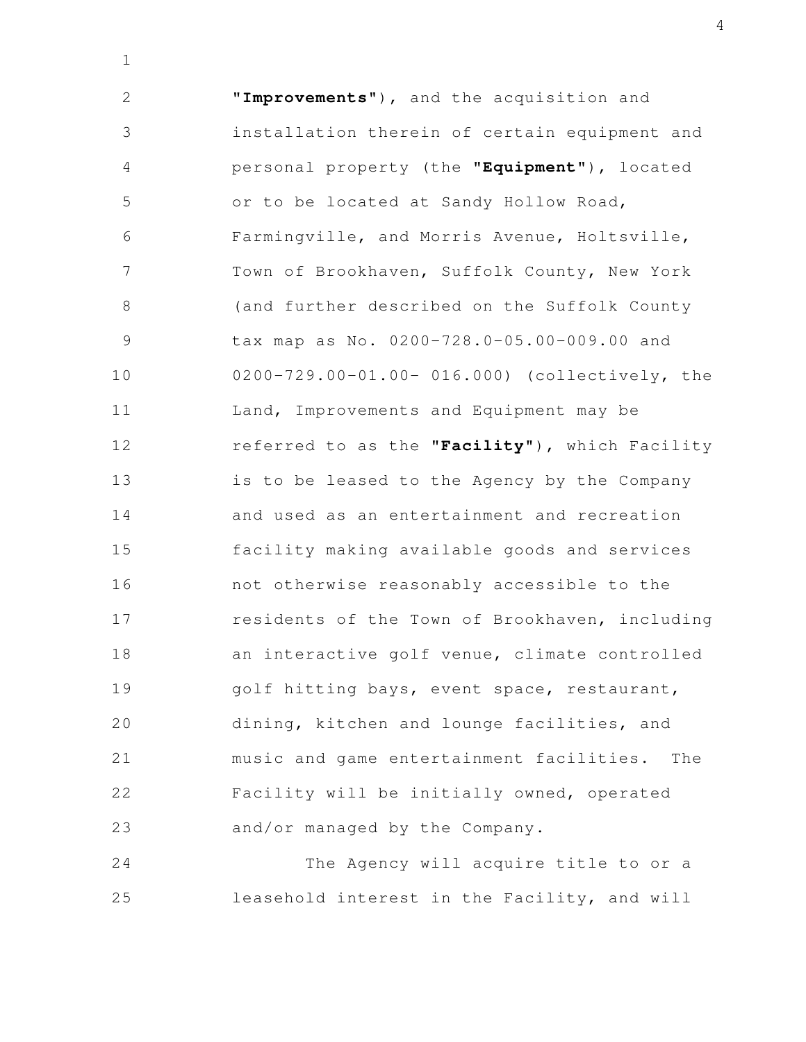**"Improvements**"), and the acquisition and installation therein of certain equipment and personal property (the **"Equipment"**), located or to be located at Sandy Hollow Road, Farmingville, and Morris Avenue, Holtsville, Town of Brookhaven, Suffolk County, New York (and further described on the Suffolk County tax map as No. 0200-728.0-05.00-009.00 and 0200-729.00-01.00- 016.000) (collectively, the Land, Improvements and Equipment may be referred to as the **"Facility**"), which Facility is to be leased to the Agency by the Company and used as an entertainment and recreation facility making available goods and services not otherwise reasonably accessible to the residents of the Town of Brookhaven, including an interactive golf venue, climate controlled golf hitting bays, event space, restaurant, dining, kitchen and lounge facilities, and music and game entertainment facilities. The Facility will be initially owned, operated and/or managed by the Company. 2 3 4 5 6 7 8 9 10 11 12 13 14 15 16 17 18 19 20 21 22 23

1

The Agency will acquire title to or a leasehold interest in the Facility, and will 24 25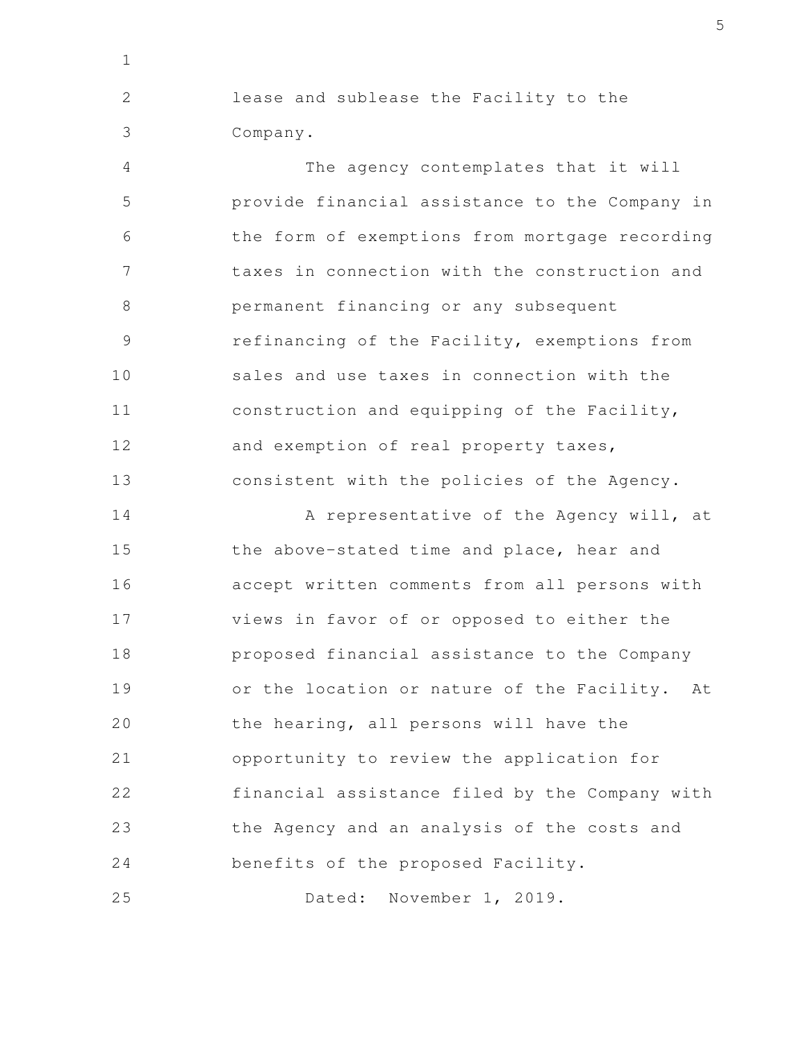lease and sublease the Facility to the Company. 2 3

1

The agency contemplates that it will provide financial assistance to the Company in the form of exemptions from mortgage recording taxes in connection with the construction and permanent financing or any subsequent refinancing of the Facility, exemptions from sales and use taxes in connection with the construction and equipping of the Facility, and exemption of real property taxes, consistent with the policies of the Agency. 4 5 6 7 8 9 10 11 12 13

A representative of the Agency will, at the above-stated time and place, hear and accept written comments from all persons with views in favor of or opposed to either the proposed financial assistance to the Company or the location or nature of the Facility. At the hearing, all persons will have the opportunity to review the application for financial assistance filed by the Company with the Agency and an analysis of the costs and benefits of the proposed Facility. 14 15 16 17 18 19 20 21 22 23 24

Dated: November 1, 2019. 25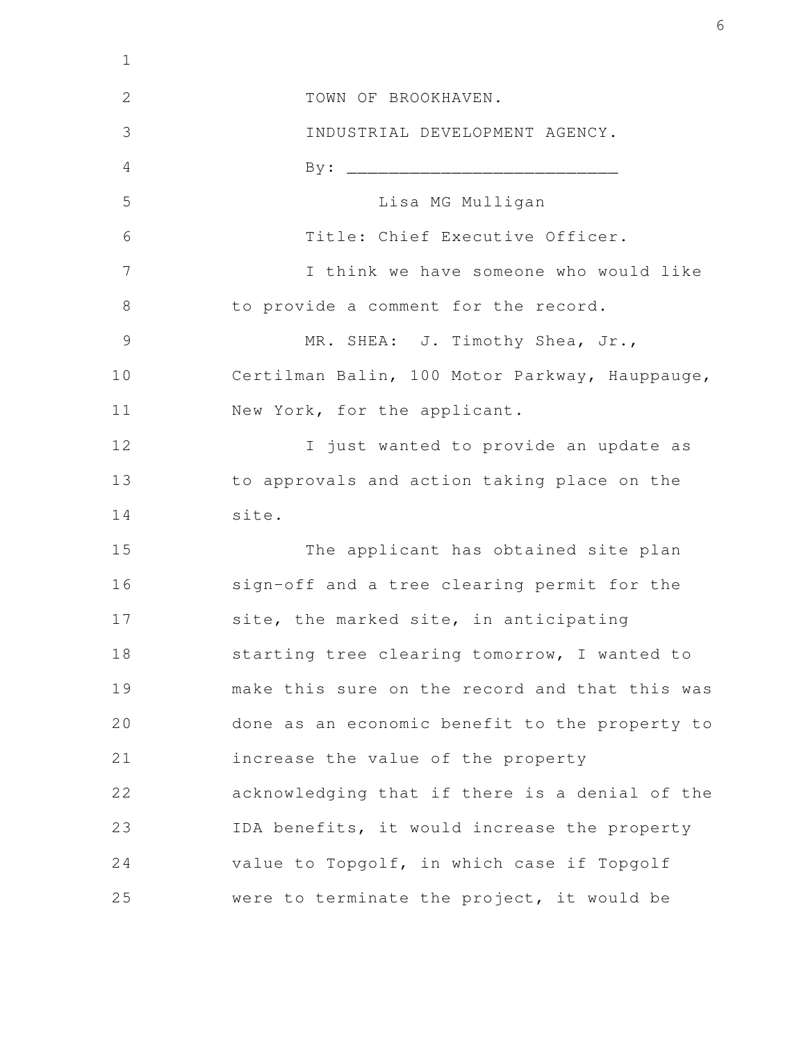| $\mathbf 1$   |                                                |
|---------------|------------------------------------------------|
| $\mathbf{2}$  | TOWN OF BROOKHAVEN.                            |
| 3             | INDUSTRIAL DEVELOPMENT AGENCY.                 |
| 4             |                                                |
| 5             | Lisa MG Mulligan                               |
| 6             | Title: Chief Executive Officer.                |
| 7             | I think we have someone who would like         |
| 8             | to provide a comment for the record.           |
| $\mathcal{G}$ | MR. SHEA: J. Timothy Shea, Jr.,                |
| 10            | Certilman Balin, 100 Motor Parkway, Hauppauge, |
| 11            | New York, for the applicant.                   |
| 12            | I just wanted to provide an update as          |
| 13            | to approvals and action taking place on the    |
| 14            | site.                                          |
| 15            | The applicant has obtained site plan           |
| 16            | sign-off and a tree clearing permit for the    |
| 17            | site, the marked site, in anticipating         |
| 18            | starting tree clearing tomorrow, I wanted to   |
| 19            | make this sure on the record and that this was |
| 20            | done as an economic benefit to the property to |
| 21            | increase the value of the property             |
| 22            | acknowledging that if there is a denial of the |
| 23            | IDA benefits, it would increase the property   |
| 24            | value to Topgolf, in which case if Topgolf     |
| 25            | were to terminate the project, it would be     |